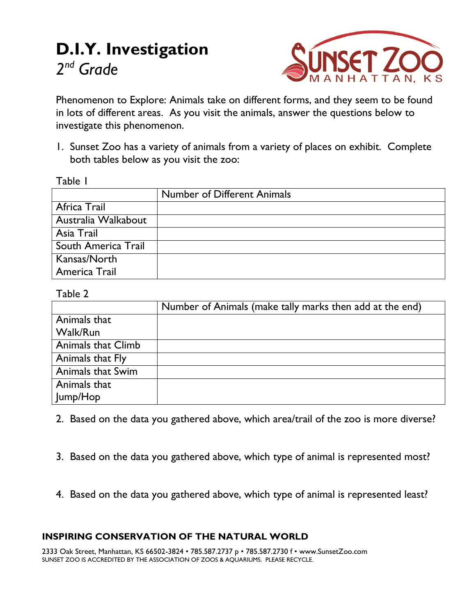# **D.I.Y. Investigation** *2 nd Grade*



Phenomenon to Explore: Animals take on different forms, and they seem to be found in lots of different areas. As you visit the animals, answer the questions below to investigate this phenomenon.

1. Sunset Zoo has a variety of animals from a variety of places on exhibit. Complete both tables below as you visit the zoo:

|                     | <b>Number of Different Animals</b> |  |
|---------------------|------------------------------------|--|
| Africa Trail        |                                    |  |
| Australia Walkabout |                                    |  |
| Asia Trail          |                                    |  |
| South America Trail |                                    |  |
| Kansas/North        |                                    |  |
| America Trail       |                                    |  |

### Table 2

Table 1

|                    | Number of Animals (make tally marks then add at the end) |
|--------------------|----------------------------------------------------------|
| Animals that       |                                                          |
| Walk/Run           |                                                          |
| Animals that Climb |                                                          |
| Animals that Fly   |                                                          |
| Animals that Swim  |                                                          |
| Animals that       |                                                          |
| Jump/Hop           |                                                          |

- 2. Based on the data you gathered above, which area/trail of the zoo is more diverse?
- 3. Based on the data you gathered above, which type of animal is represented most?
- 4. Based on the data you gathered above, which type of animal is represented least?

## **INSPIRING CONSERVATION OF THE NATURAL WORLD**

2333 Oak Street, Manhattan, KS 66502-3824 • 785.587.2737 p • 785.587.2730 f • www.SunsetZoo.com SUNSET ZOO IS ACCREDITED BY THE ASSOCIATION OF ZOOS & AQUARIUMS. PLEASE RECYCLE.